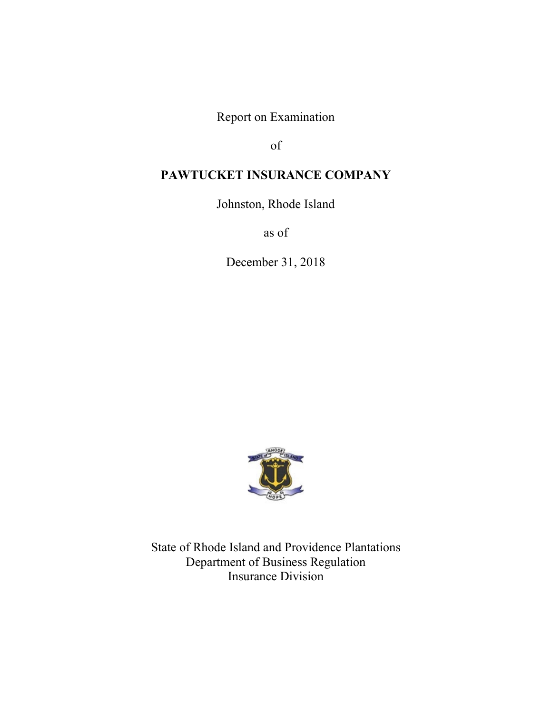Report on Examination

of

# **PAWTUCKET INSURANCE COMPANY**

Johnston, Rhode Island

as of

December 31, 2018



State of Rhode Island and Providence Plantations Department of Business Regulation Insurance Division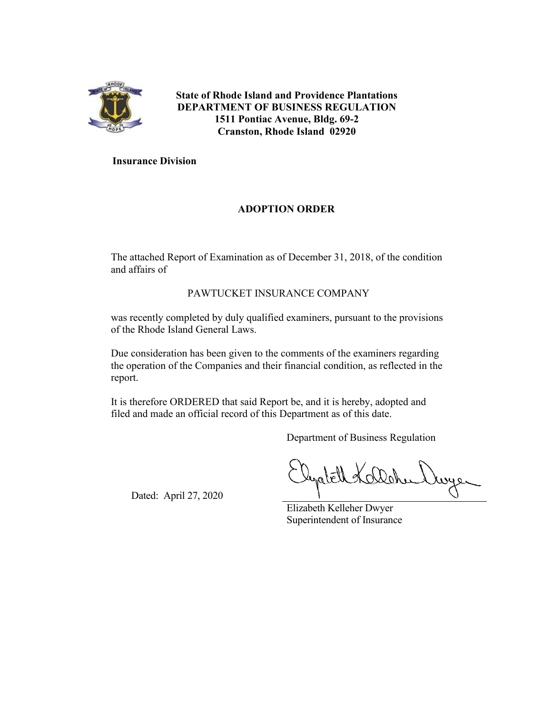

**State of Rhode Island and Providence Plantations DEPARTMENT OF BUSINESS REGULATION 1511 Pontiac Avenue, Bldg. 69-2 Cranston, Rhode Island 02920**

## **Insurance Division**

## **ADOPTION ORDER**

The attached Report of Examination as of December 31, 2018, of the condition and affairs of

## PAWTUCKET INSURANCE COMPANY

was recently completed by duly qualified examiners, pursuant to the provisions of the Rhode Island General Laws.

Due consideration has been given to the comments of the examiners regarding the operation of the Companies and their financial condition, as reflected in the report.

It is therefore ORDERED that said Report be, and it is hereby, adopted and filed and made an official record of this Department as of this date.

Department of Business Regulation

Dated: April 27, 2020

Elizabeth Kelleher Dwyer Superintendent of Insurance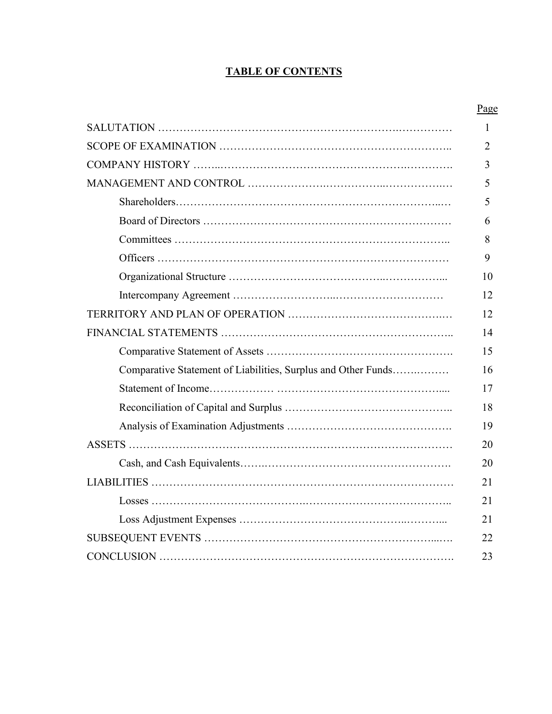# **TABLE OF CONTENTS**

|                                                               | Page         |
|---------------------------------------------------------------|--------------|
|                                                               | $\mathbf{1}$ |
|                                                               | 2            |
|                                                               | 3            |
|                                                               | 5            |
|                                                               | 5            |
|                                                               | 6            |
|                                                               | 8            |
|                                                               | 9            |
|                                                               | 10           |
|                                                               | 12           |
|                                                               | 12           |
|                                                               | 14           |
|                                                               | 15           |
| Comparative Statement of Liabilities, Surplus and Other Funds | 16           |
|                                                               | 17           |
|                                                               | 18           |
|                                                               | 19           |
|                                                               | 20           |
|                                                               | 20           |
|                                                               | 21           |
|                                                               | 21           |
|                                                               | 21           |
|                                                               | 22           |
|                                                               | 23           |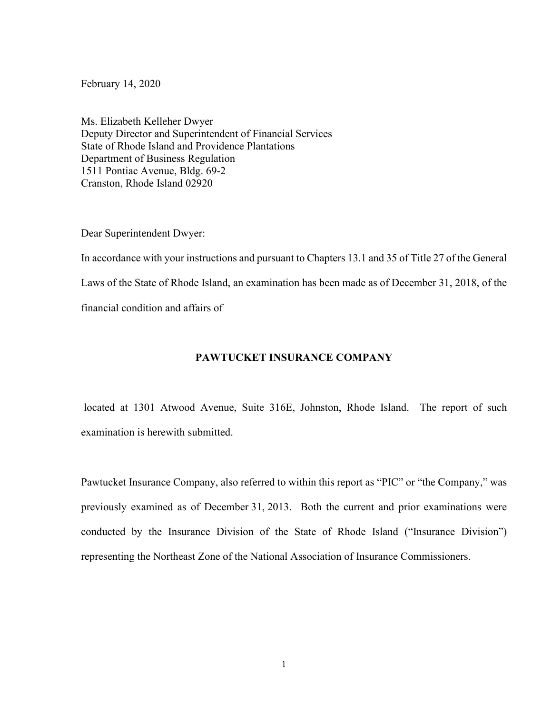February 14, 2020

Ms. Elizabeth Kelleher Dwyer Deputy Director and Superintendent of Financial Services State of Rhode Island and Providence Plantations Department of Business Regulation 1511 Pontiac Avenue, Bldg. 69-2 Cranston, Rhode Island 02920

Dear Superintendent Dwyer:

In accordance with your instructions and pursuant to Chapters 13.1 and 35 of Title 27 of the General Laws of the State of Rhode Island, an examination has been made as of December 31, 2018, of the financial condition and affairs of

## **PAWTUCKET INSURANCE COMPANY**

located at 1301 Atwood Avenue, Suite 316E, Johnston, Rhode Island. The report of such examination is herewith submitted.

Pawtucket Insurance Company, also referred to within this report as "PIC" or "the Company," was previously examined as of December 31, 2013. Both the current and prior examinations were conducted by the Insurance Division of the State of Rhode Island ("Insurance Division") representing the Northeast Zone of the National Association of Insurance Commissioners.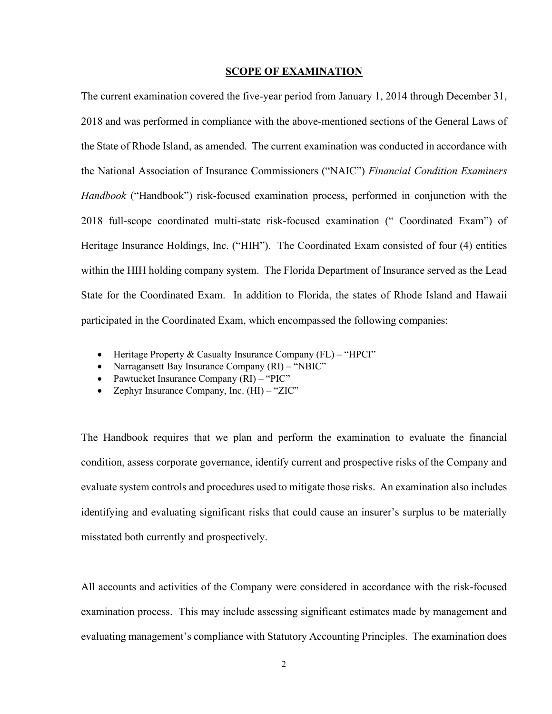#### **SCOPE OF EXAMINATION**

The current examination covered the five-year period from January 1, 2014 through December 31, 2018 and was performed in compliance with the above-mentioned sections of the General Laws of the State of Rhode Island, as amended. The current examination was conducted in accordance with the National Association of Insurance Commissioners ("NAIC") *Financial Condition Examiners Handbook* ("Handbook") risk-focused examination process, performed in conjunction with the 2018 full-scope coordinated multi-state risk-focused examination (" Coordinated Exam") of Heritage Insurance Holdings, Inc. ("HIH"). The Coordinated Exam consisted of four (4) entities within the HIH holding company system. The Florida Department of Insurance served as the Lead State for the Coordinated Exam. In addition to Florida, the states of Rhode Island and Hawaii participated in the Coordinated Exam, which encompassed the following companies:

- Heritage Property & Casualty Insurance Company (FL) "HPCI"
- Narragansett Bay Insurance Company (RI) "NBIC"
- Pawtucket Insurance Company (RI) "PIC"
- Zephyr Insurance Company, Inc. (HI) "ZIC"

The Handbook requires that we plan and perform the examination to evaluate the financial condition, assess corporate governance, identify current and prospective risks of the Company and evaluate system controls and procedures used to mitigate those risks. An examination also includes identifying and evaluating significant risks that could cause an insurer's surplus to be materially misstated both currently and prospectively.

All accounts and activities of the Company were considered in accordance with the risk-focused examination process. This may include assessing significant estimates made by management and evaluating management's compliance with Statutory Accounting Principles. The examination does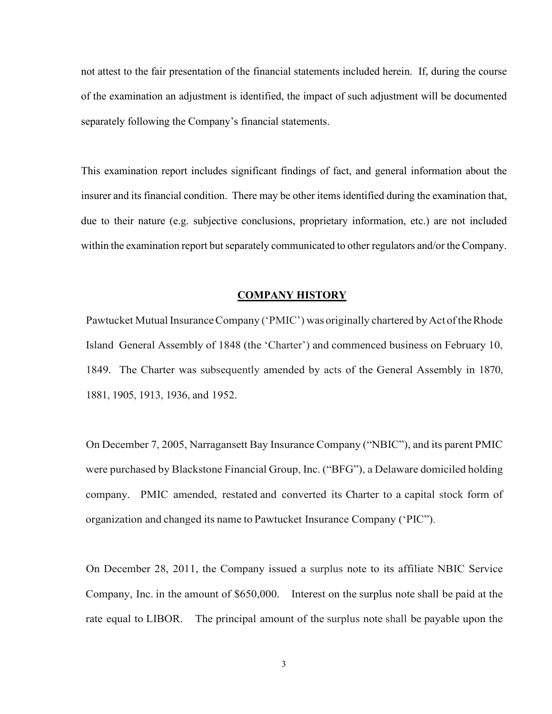not attest to the fair presentation of the financial statements included herein. If, during the course of the examination an adjustment is identified, the impact of such adjustment will be documented separately following the Company's financial statements.

This examination report includes significant findings of fact, and general information about the insurer and its financial condition. There may be other items identified during the examination that, due to their nature (e.g. subjective conclusions, proprietary information, etc.) are not included within the examination report but separately communicated to other regulators and/or the Company.

#### **COMPANY HISTORY**

Pawtucket Mutual Insurance Company ('PMIC') was originally chartered by Act of the Rhode Island General Assembly of 1848 (the 'Charter') and commenced business on February 10, 1849. The Charter was subsequently amended by acts of the General Assembly in 1870, 1881, 1905, 1913, 1936, and 1952.

On December 7, 2005, Narragansett Bay Insurance Company ("NBIC"), and its parent PMIC were purchased by Blackstone Financial Group, Inc. ("BFG"), a Delaware domiciled holding company. PMIC amended, restated and converted its Charter to a capital stock form of organization and changed its name to Pawtucket Insurance Company ('PIC").

On December 28, 2011, the Company issued a surplus note to its affiliate NBIC Service Company, Inc. in the amount of \$650,000. Interest on the surplus note shall be paid at the rate equal to LIBOR. The principal amount of the surplus note shall be payable upon the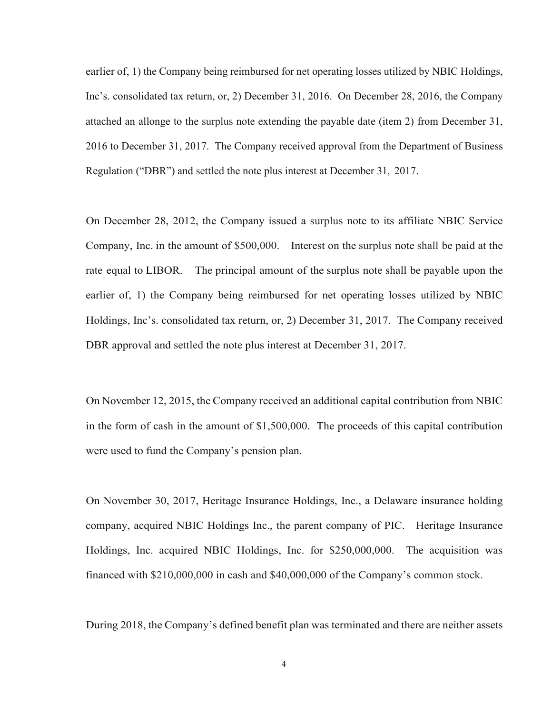earlier of, 1) the Company being reimbursed for net operating losses utilized by NBIC Holdings, Inc's. consolidated tax return, or, 2) December 31, 2016. On December 28, 2016, the Company attached an allonge to the surplus note extending the payable date (item 2) from December 31, 2016 to December 31, 2017. The Company received approval from the Department of Business Regulation ("DBR") and settled the note plus interest at December 31, 2017.

On December 28, 2012, the Company issued a surplus note to its affiliate NBIC Service Company, Inc. in the amount of \$500,000. Interest on the surplus note shall be paid at the rate equal to LIBOR. The principal amount of the surplus note shall be payable upon the earlier of, 1) the Company being reimbursed for net operating losses utilized by NBIC Holdings, Inc's. consolidated tax return, or, 2) December 31, 2017. The Company received DBR approval and settled the note plus interest at December 31, 2017.

On November 12, 2015, the Company received an additional capital contribution from NBIC in the form of cash in the amount of \$1,500,000. The proceeds of this capital contribution were used to fund the Company's pension plan.

On November 30, 2017, Heritage Insurance Holdings, Inc., a Delaware insurance holding company, acquired NBIC Holdings Inc., the parent company of PIC. Heritage Insurance Holdings, Inc. acquired NBIC Holdings, Inc. for \$250,000,000. The acquisition was financed with \$210,000,000 in cash and \$40,000,000 of the Company's common stock.

During 2018, the Company's defined benefit plan was terminated and there are neither assets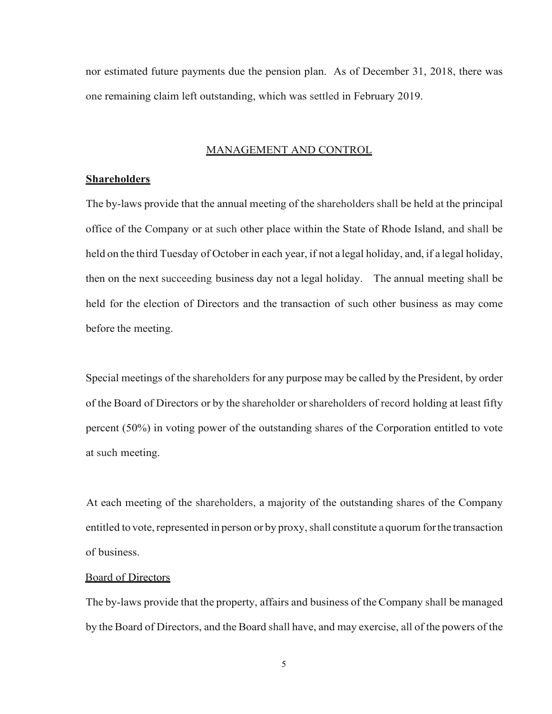nor estimated future payments due the pension plan. As of December 31, 2018, there was one remaining claim left outstanding, which was settled in February 2019.

### MANAGEMENT AND CONTROL

## **Shareholders**

The by-laws provide that the annual meeting of the shareholders shall be held at the principal office of the Company or at such other place within the State of Rhode Island, and shall be held on the third Tuesday of October in each year, if not a legal holiday, and, if a legal holiday, then on the next succeeding business day not a legal holiday. The annual meeting shall be held for the election of Directors and the transaction of such other business as may come before the meeting.

Special meetings of the shareholders for any purpose may be called by the President, by order of the Board of Directors or by the shareholder orshareholders of record holding at least fifty percent (50%) in voting power of the outstanding shares of the Corporation entitled to vote at such meeting.

At each meeting of the shareholders, a majority of the outstanding shares of the Company entitled to vote, represented in person or by proxy, shall constitute a quorum for the transaction of business.

## Board of Directors

The by-laws provide that the property, affairs and business of the Company shall be managed by the Board of Directors, and the Board shall have, and may exercise, all of the powers of the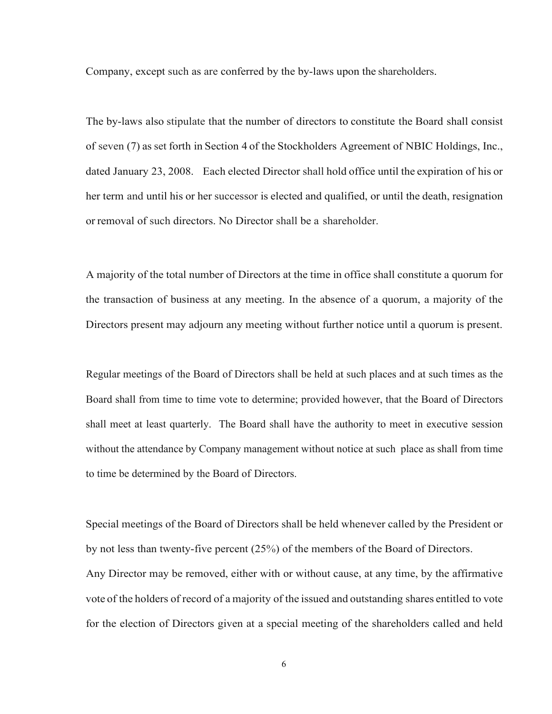Company, except such as are conferred by the by-laws upon the shareholders.

The by-laws also stipulate that the number of directors to constitute the Board shall consist of seven (7) as set forth in Section 4 of the Stockholders Agreement of NBIC Holdings, Inc., dated January 23, 2008. Each elected Director shall hold office until the expiration of his or her term and until his or her successor is elected and qualified, or until the death, resignation or removal of such directors. No Director shall be a shareholder.

A majority of the total number of Directors at the time in office shall constitute a quorum for the transaction of business at any meeting. In the absence of a quorum, a majority of the Directors present may adjourn any meeting without further notice until a quorum is present.

Regular meetings of the Board of Directors shall be held at such places and at such times as the Board shall from time to time vote to determine; provided however, that the Board of Directors shall meet at least quarterly. The Board shall have the authority to meet in executive session without the attendance by Company management without notice at such place as shall from time to time be determined by the Board of Directors.

Special meetings of the Board of Directors shall be held whenever called by the President or by not less than twenty-five percent (25%) of the members of the Board of Directors. Any Director may be removed, either with or without cause, at any time, by the affirmative vote of the holders of record of a majority of the issued and outstanding shares entitled to vote for the election of Directors given at a special meeting of the shareholders called and held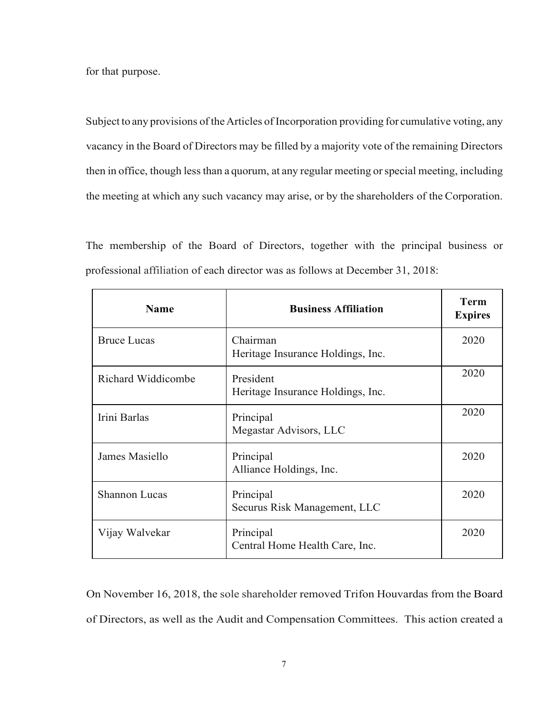for that purpose.

Subject to any provisions of the Articles of Incorporation providing for cumulative voting, any vacancy in the Board of Directors may be filled by a majority vote of the remaining Directors then in office, though less than a quorum, at any regular meeting or special meeting, including the meeting at which any such vacancy may arise, or by the shareholders of the Corporation.

The membership of the Board of Directors, together with the principal business or professional affiliation of each director was as follows at December 31, 2018:

| <b>Name</b>          | <b>Business Affiliation</b>                    | <b>Term</b><br><b>Expires</b> |
|----------------------|------------------------------------------------|-------------------------------|
| <b>Bruce Lucas</b>   | Chairman<br>Heritage Insurance Holdings, Inc.  | 2020                          |
| Richard Widdicombe   | President<br>Heritage Insurance Holdings, Inc. | 2020                          |
| Irini Barlas         | Principal<br>Megastar Advisors, LLC            | 2020                          |
| James Masiello       | Principal<br>Alliance Holdings, Inc.           | 2020                          |
| <b>Shannon Lucas</b> | Principal<br>Securus Risk Management, LLC      | 2020                          |
| Vijay Walvekar       | Principal<br>Central Home Health Care, Inc.    | 2020                          |

On November 16, 2018, the sole shareholder removed Trifon Houvardas from the Board of Directors, as well as the Audit and Compensation Committees. This action created a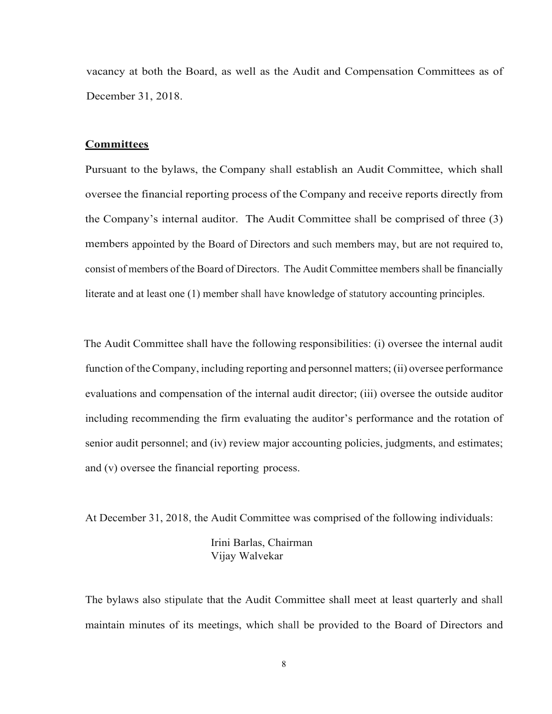vacancy at both the Board, as well as the Audit and Compensation Committees as of December 31, 2018.

## **Committees**

Pursuant to the bylaws, the Company shall establish an Audit Committee, which shall oversee the financial reporting process of the Company and receive reports directly from the Company's internal auditor. The Audit Committee shall be comprised of three (3) members appointed by the Board of Directors and such members may, but are not required to, consist of members of the Board of Directors. The Audit Committee members shall be financially literate and at least one (1) member shall have knowledge of statutory accounting principles.

The Audit Committee shall have the following responsibilities: (i) oversee the internal audit function of theCompany, including reporting and personnel matters; (ii) oversee performance evaluations and compensation of the internal audit director; (iii) oversee the outside auditor including recommending the firm evaluating the auditor's performance and the rotation of senior audit personnel; and (iv) review major accounting policies, judgments, and estimates; and (v) oversee the financial reporting process.

At December 31, 2018, the Audit Committee was comprised of the following individuals:

Irini Barlas, Chairman Vijay Walvekar

The bylaws also stipulate that the Audit Committee shall meet at least quarterly and shall maintain minutes of its meetings, which shall be provided to the Board of Directors and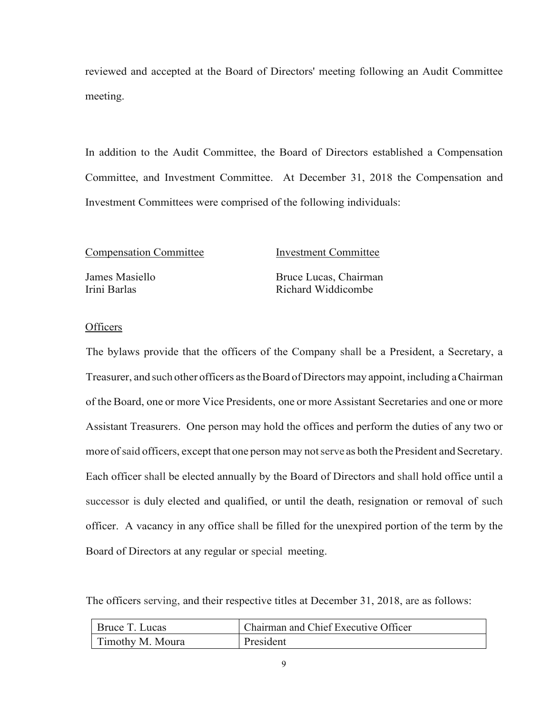reviewed and accepted at the Board of Directors' meeting following an Audit Committee meeting.

In addition to the Audit Committee, the Board of Directors established a Compensation Committee, and Investment Committee. At December 31, 2018 the Compensation and Investment Committees were comprised of the following individuals:

Compensation Committee Investment Committee

James Masiello Bruce Lucas, Chairman Irini Barlas Richard Widdicombe

## **Officers**

The bylaws provide that the officers of the Company shall be a President, a Secretary, a Treasurer, and such other officers astheBoard of Directors may appoint, including aChairman of the Board, one or more Vice Presidents, one or more Assistant Secretaries and one or more Assistant Treasurers. One person may hold the offices and perform the duties of any two or more of said officers, except that one person may not serve as both the President and Secretary. Each officer shall be elected annually by the Board of Directors and shall hold office until a successor is duly elected and qualified, or until the death, resignation or removal of such officer. A vacancy in any office shall be filled for the unexpired portion of the term by the Board of Directors at any regular or special meeting.

The officers serving, and their respective titles at December 31, 2018, are as follows:

| Bruce T. Lucas   | Chairman and Chief Executive Officer |
|------------------|--------------------------------------|
| Timothy M. Moura | President                            |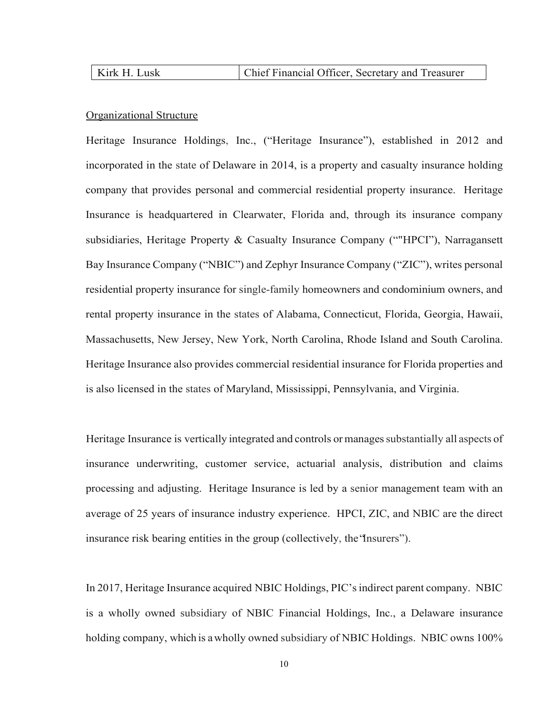| Kirk H. Lusk | Chief Financial Officer, Secretary and Treasurer |
|--------------|--------------------------------------------------|
|              |                                                  |

## Organizational Structure

Heritage Insurance Holdings, Inc., ("Heritage Insurance"), established in 2012 and incorporated in the state of Delaware in 2014, is a property and casualty insurance holding company that provides personal and commercial residential property insurance. Heritage Insurance is headquartered in Clearwater, Florida and, through its insurance company subsidiaries, Heritage Property & Casualty Insurance Company (""HPCI"), Narragansett Bay Insurance Company ("NBIC") and Zephyr Insurance Company ("ZIC"), writes personal residential property insurance for single-family homeowners and condominium owners, and rental property insurance in the states of Alabama, Connecticut, Florida, Georgia, Hawaii, Massachusetts, New Jersey, New York, North Carolina, Rhode Island and South Carolina. Heritage Insurance also provides commercial residential insurance for Florida properties and is also licensed in the states of Maryland, Mississippi, Pennsylvania, and Virginia.

Heritage Insurance is vertically integrated and controls or manages substantially all aspects of insurance underwriting, customer service, actuarial analysis, distribution and claims processing and adjusting. Heritage Insurance is led by a senior management team with an average of 25 years of insurance industry experience. HPCI, ZIC, and NBIC are the direct insurance risk bearing entities in the group (collectively, the"Insurers").

In 2017, Heritage Insurance acquired NBIC Holdings, PIC's indirect parent company. NBIC is a wholly owned subsidiary of NBIC Financial Holdings, Inc., a Delaware insurance holding company, which is a wholly owned subsidiary of NBIC Holdings. NBIC owns 100%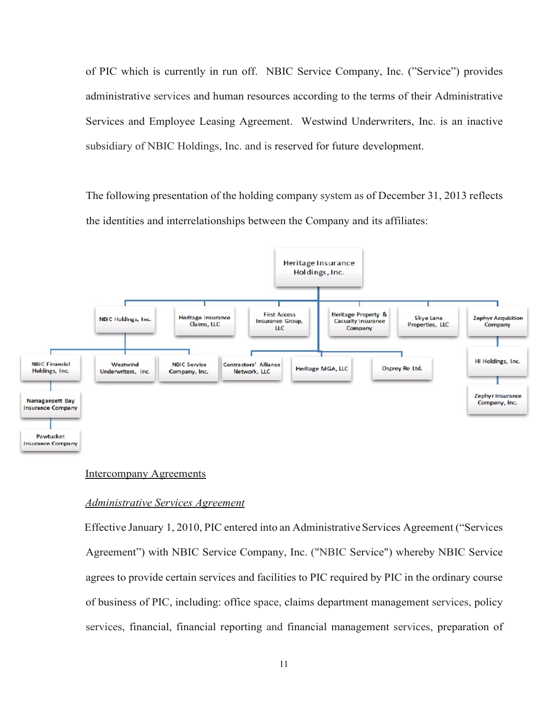of PIC which is currently in run off. NBIC Service Company, Inc. ("Service") provides administrative services and human resources according to the terms of their Administrative Services and Employee Leasing Agreement. Westwind Underwriters, Inc. is an inactive subsidiary of NBIC Holdings, Inc. and is reserved for future development.

The following presentation of the holding company system as of December 31, 2013 reflects the identities and interrelationships between the Company and its affiliates:



#### Intercompany Agreements

### *Administrative Services Agreement*

Effective January 1, 2010, PIC entered into an AdministrativeServices Agreement ("Services Agreement") with NBIC Service Company, Inc. ("NBIC Service") whereby NBIC Service agrees to provide certain services and facilities to PIC required by PIC in the ordinary course of business of PIC, including: office space, claims department management services, policy services, financial, financial reporting and financial management services, preparation of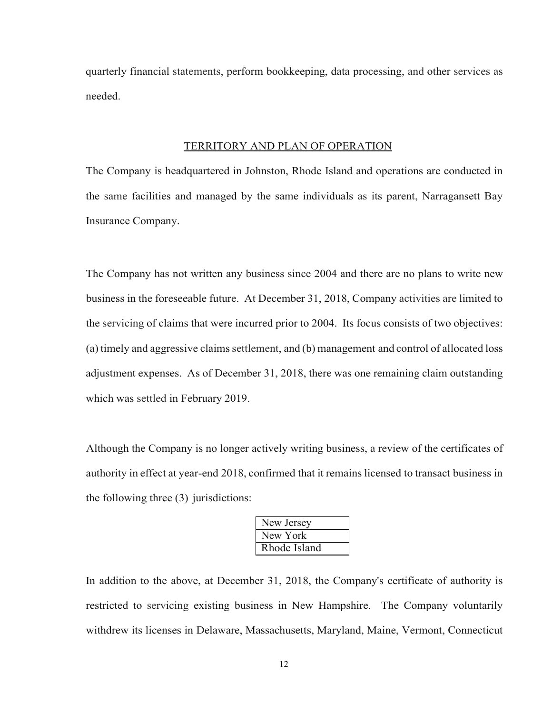quarterly financial statements, perform bookkeeping, data processing, and other services as needed.

#### TERRITORY AND PLAN OF OPERATION

The Company is headquartered in Johnston, Rhode Island and operations are conducted in the same facilities and managed by the same individuals as its parent, Narragansett Bay Insurance Company.

The Company has not written any business since 2004 and there are no plans to write new business in the foreseeable future. At December 31, 2018, Company activities are limited to the servicing of claims that were incurred prior to 2004. Its focus consists of two objectives:  $(a)$  timely and aggressive claims settlement, and  $(b)$  management and control of allocated loss adjustment expenses. As of December 31, 2018, there was one remaining claim outstanding which was settled in February 2019.

Although the Company is no longer actively writing business, a review of the certificates of authority in effect at year-end 2018, confirmed that it remains licensed to transact business in the following three (3) jurisdictions:

| New Jersey   |
|--------------|
| New York     |
| Rhode Island |

In addition to the above, at December 31, 2018, the Company's certificate of authority is restricted to servicing existing business in New Hampshire. The Company voluntarily withdrew its licenses in Delaware, Massachusetts, Maryland, Maine, Vermont, Connecticut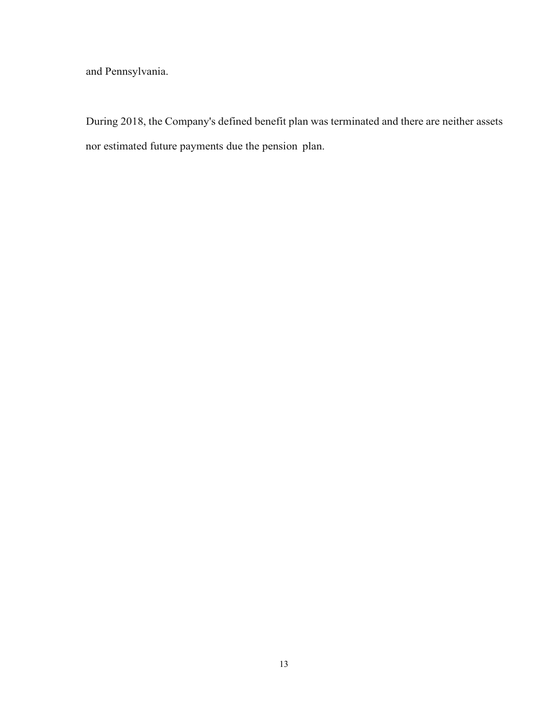and Pennsylvania.

During 2018, the Company's defined benefit plan was terminated and there are neither assets nor estimated future payments due the pension plan.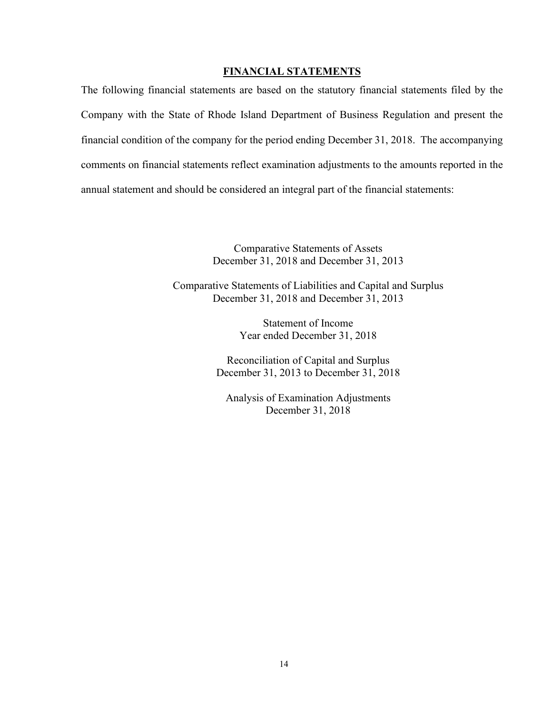## **FINANCIAL STATEMENTS**

The following financial statements are based on the statutory financial statements filed by the Company with the State of Rhode Island Department of Business Regulation and present the financial condition of the company for the period ending December 31, 2018. The accompanying comments on financial statements reflect examination adjustments to the amounts reported in the annual statement and should be considered an integral part of the financial statements:

> Comparative Statements of Assets December 31, 2018 and December 31, 2013

Comparative Statements of Liabilities and Capital and Surplus December 31, 2018 and December 31, 2013

> Statement of Income Year ended December 31, 2018

Reconciliation of Capital and Surplus December 31, 2013 to December 31, 2018

Analysis of Examination Adjustments December 31, 2018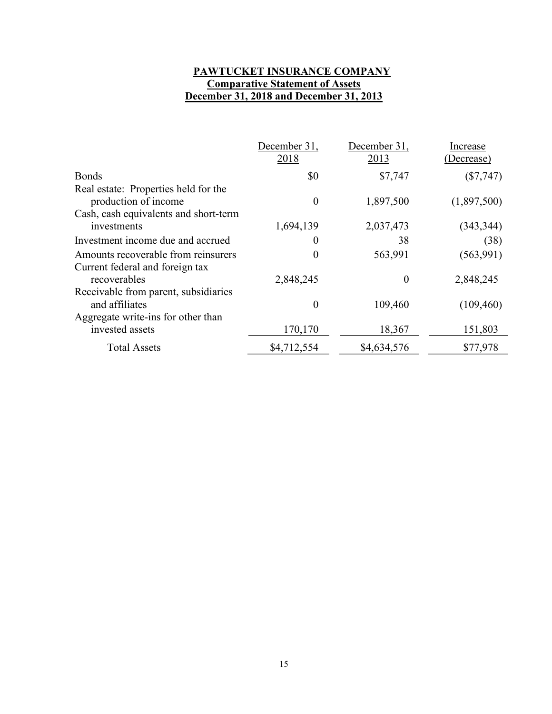# **PAWTUCKET INSURANCE COMPANY Comparative Statement of Assets December 31, 2018 and December 31, 2013**

|                                                                                                       | December 31,     | December 31, | Increase    |
|-------------------------------------------------------------------------------------------------------|------------------|--------------|-------------|
|                                                                                                       | 2018             | 2013         | (Decrease)  |
| <b>Bonds</b>                                                                                          | \$0              | \$7,747      | $(\$7,747)$ |
| Real estate: Properties held for the<br>production of income<br>Cash, cash equivalents and short-term | $\theta$         | 1,897,500    | (1,897,500) |
| investments                                                                                           | 1,694,139        | 2,037,473    | (343, 344)  |
| Investment income due and accrued                                                                     | 0                | 38           | (38)        |
| Amounts recoverable from reinsurers<br>Current federal and foreign tax                                | 0                | 563,991      | (563,991)   |
| recoverables                                                                                          | 2,848,245        | $\theta$     | 2,848,245   |
| Receivable from parent, subsidiaries<br>and affiliates                                                | $\boldsymbol{0}$ | 109,460      | (109, 460)  |
| Aggregate write-ins for other than<br>invested assets                                                 | 170,170          | 18,367       | 151,803     |
| <b>Total Assets</b>                                                                                   | \$4,712,554      | \$4,634,576  | \$77,978    |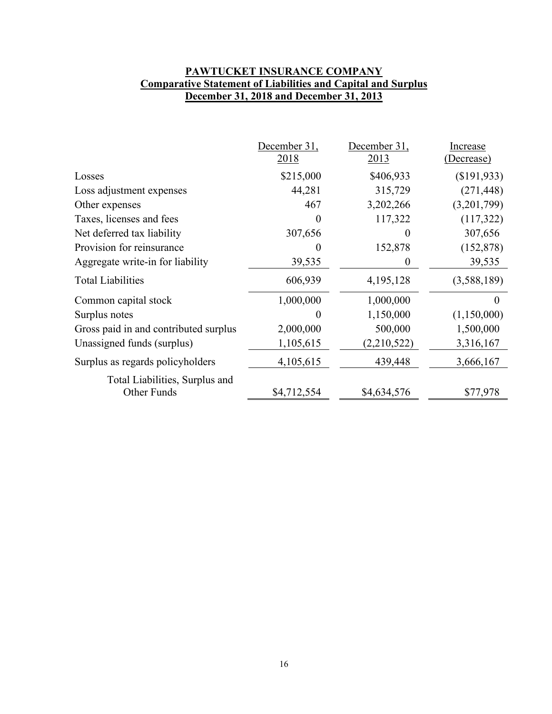# **PAWTUCKET INSURANCE COMPANY Comparative Statement of Liabilities and Capital and Surplus December 31, 2018 and December 31, 2013**

|                                               | December 31,<br>2018 | December 31,<br>2013 | Increase<br>(Decrease) |
|-----------------------------------------------|----------------------|----------------------|------------------------|
| Losses                                        | \$215,000            | \$406,933            | (\$191,933)            |
| Loss adjustment expenses                      | 44,281               | 315,729              | (271, 448)             |
| Other expenses                                | 467                  | 3,202,266            | (3,201,799)            |
| Taxes, licenses and fees                      |                      | 117,322              | (117,322)              |
| Net deferred tax liability                    | 307,656              |                      | 307,656                |
| Provision for reinsurance                     | 0                    | 152,878              | (152, 878)             |
| Aggregate write-in for liability              | 39,535               | $\theta$             | 39,535                 |
| <b>Total Liabilities</b>                      | 606,939              | 4,195,128            | (3,588,189)            |
| Common capital stock                          | 1,000,000            | 1,000,000            | 0                      |
| Surplus notes                                 | 0                    | 1,150,000            | (1,150,000)            |
| Gross paid in and contributed surplus         | 2,000,000            | 500,000              | 1,500,000              |
| Unassigned funds (surplus)                    | 1,105,615            | (2,210,522)          | 3,316,167              |
| Surplus as regards policyholders              | 4,105,615            | 439,448              | 3,666,167              |
| Total Liabilities, Surplus and<br>Other Funds | \$4,712,554          | \$4,634,576          | \$77,978               |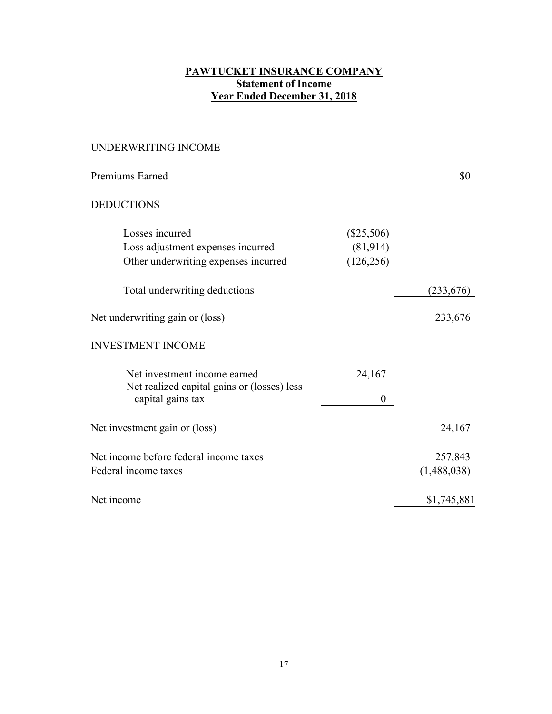# **PAWTUCKET INSURANCE COMPANY Statement of Income Year Ended December 31, 2018**

# UNDERWRITING INCOME

| Premiums Earned                                                                                  |                                        | \$0                    |
|--------------------------------------------------------------------------------------------------|----------------------------------------|------------------------|
| <b>DEDUCTIONS</b>                                                                                |                                        |                        |
| Losses incurred<br>Loss adjustment expenses incurred<br>Other underwriting expenses incurred     | $(\$25,506)$<br>(81,914)<br>(126, 256) |                        |
| Total underwriting deductions                                                                    |                                        | (233, 676)             |
| Net underwriting gain or (loss)                                                                  |                                        | 233,676                |
| <b>INVESTMENT INCOME</b>                                                                         |                                        |                        |
| Net investment income earned<br>Net realized capital gains or (losses) less<br>capital gains tax | 24,167<br>0                            |                        |
| Net investment gain or (loss)                                                                    |                                        | 24,167                 |
| Net income before federal income taxes<br>Federal income taxes                                   |                                        | 257,843<br>(1,488,038) |
| Net income                                                                                       |                                        | \$1,745,881            |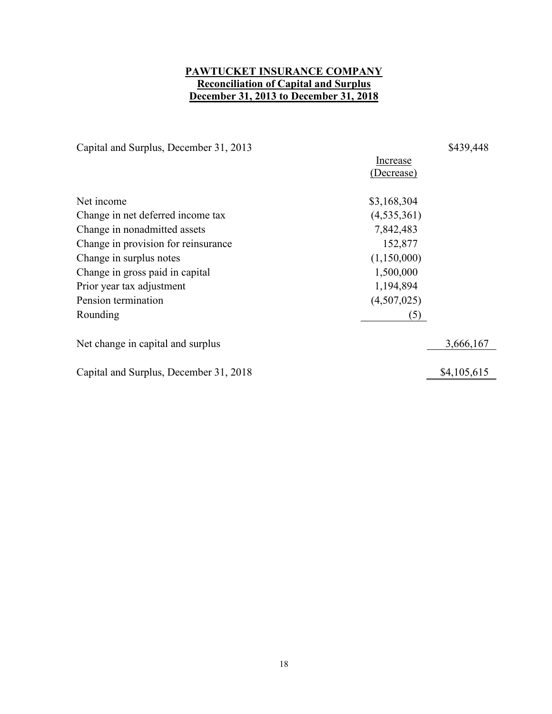## **PAWTUCKET INSURANCE COMPANY Reconciliation of Capital and Surplus December 31, 2013 to December 31, 2018**

Capital and Surplus, December 31, 2013 \$439,448

Increase (Decrease) Net income \$3,168,304 Change in net deferred income tax (4,535,361) Change in nonadmitted assets 7,842,483 Change in provision for reinsurance 152,877 Change in surplus notes (1,150,000) Change in gross paid in capital 1,500,000 Prior year tax adjustment 1,194,894 Pension termination (4,507,025) Rounding (5) Net change in capital and surplus 3,666,167 Capital and Surplus, December 31, 2018 \$4,105,615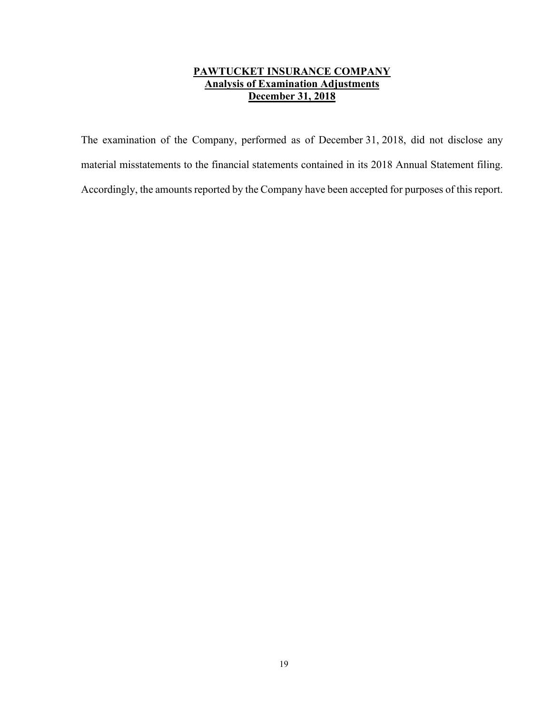# **PAWTUCKET INSURANCE COMPANY Analysis of Examination Adjustments December 31, 2018**

The examination of the Company, performed as of December 31, 2018, did not disclose any material misstatements to the financial statements contained in its 2018 Annual Statement filing. Accordingly, the amounts reported by the Company have been accepted for purposes of this report.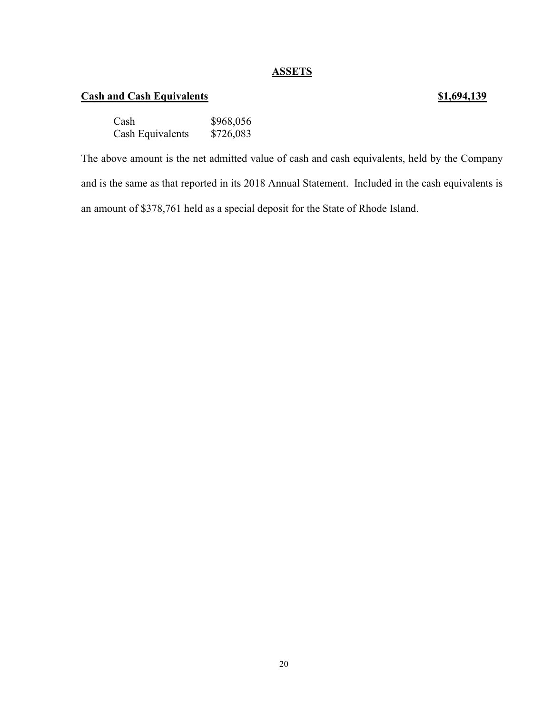## **ASSETS**

# **Cash and Cash Equivalents 51,694,139**

# Cash \$968,056<br>Cash Equivalents \$726,083 Cash Equivalents

The above amount is the net admitted value of cash and cash equivalents, held by the Company and is the same as that reported in its 2018 Annual Statement. Included in the cash equivalents is an amount of \$378,761 held as a special deposit for the State of Rhode Island.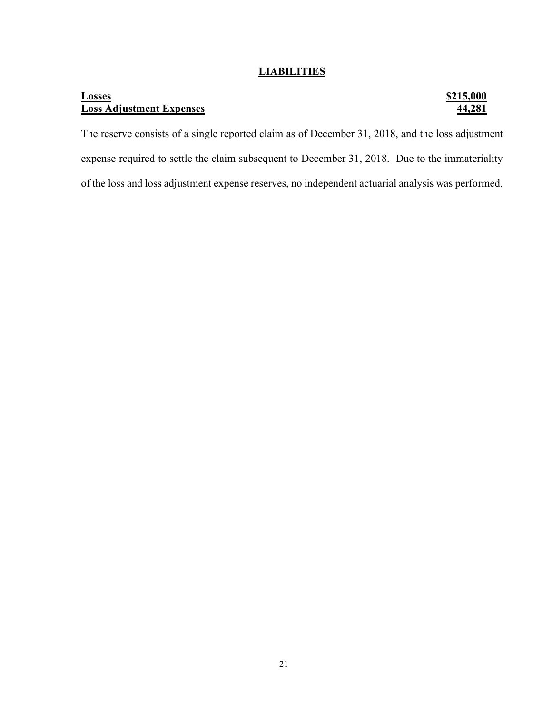## **LIABILITIES**

## **Losses \$215,000 Loss Adjustment Expenses 44,281**

The reserve consists of a single reported claim as of December 31, 2018, and the loss adjustment expense required to settle the claim subsequent to December 31, 2018. Due to the immateriality of the loss and loss adjustment expense reserves, no independent actuarial analysis was performed.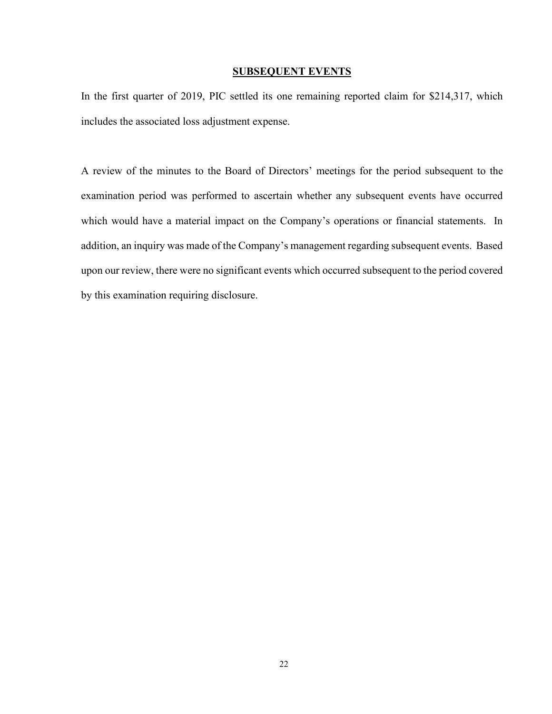#### **SUBSEQUENT EVENTS**

In the first quarter of 2019, PIC settled its one remaining reported claim for \$214,317, which includes the associated loss adjustment expense.

A review of the minutes to the Board of Directors' meetings for the period subsequent to the examination period was performed to ascertain whether any subsequent events have occurred which would have a material impact on the Company's operations or financial statements. In addition, an inquiry was made of the Company's management regarding subsequent events. Based upon our review, there were no significant events which occurred subsequent to the period covered by this examination requiring disclosure.